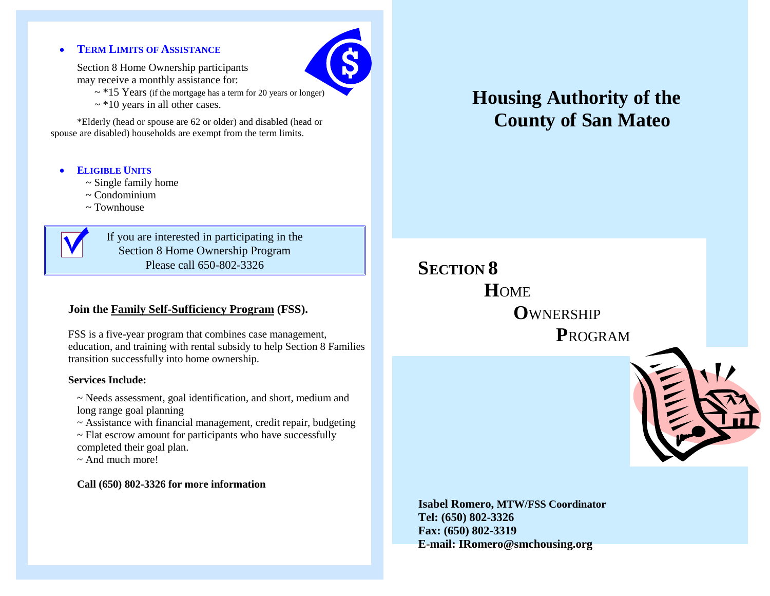## **TERM LIMITS OF ASSISTANCE**

Section 8 Home Ownership participants may receive a monthly assistance for:

- $\sim$  \*15 Years (if the mortgage has a term for 20 years or longer)
- $\sim$  \*10 years in all other cases.

\*Elderly (head or spouse are 62 or older) and disabled (head or spouse are disabled) households are exempt from the term limits.

### **ELIGIBLE UNITS**

- $\sim$  Single family home
- $\sim$  Condominium
- ~ Townhouse

If you are interested in participating in the Section 8 Home Ownership Program Please call 650-802-3326

## **Join the Family Self-Sufficiency Program (FSS).**

FSS is a five-year program that combines case management, education, and training with rental subsidy to help Section 8 Families transition successfully into home ownership.

#### **Services Include:**

~ Needs assessment, goal identification, and short, medium and long range goal planning

~ Assistance with financial management, credit repair, budgeting

~ Flat escrow amount for participants who have successfully completed their goal plan.

~ And much more!

**Call (650) 802-3326 for more information**



# **SECTION 8 H**OME

 **O**WNERSHIP  **P**ROGRAM



**Isabel Romero, MTW/FSS Coordinator Tel: (650) 802-3326 Fax: (650) 802-3319 E-mail: IRomero@smchousing.org**